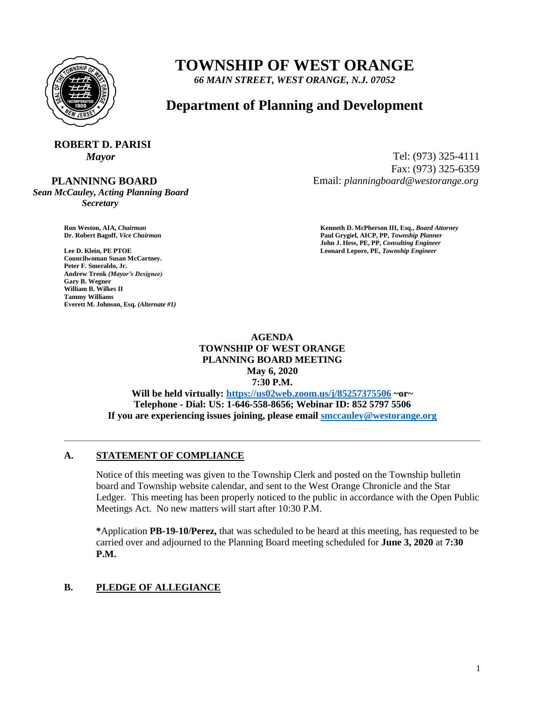

## **TOWNSHIP OF WEST ORANGE**

*66 MAIN STREET, WEST ORANGE, N.J. 07052*

### **Department of Planning and Development**

# **ROBERT D. PARISI**

 **PLANNINNG BOARD**

*Sean McCauley, Acting Planning Board Secretary*

**Lee D. Klein, PE PTOE Leonard Lepore, PE,** *Township Engineer* **Councilwoman Susan McCartney. Peter F. Smeraldo, Jr. Andrew Trenk** *(Mayor's Designee)* **Gary B. Wegner William B. Wilkes II Tammy Williams Everett M. Johnson, Esq.** *(Alternate #1)*

*Mayor* Tel: (973) 325-4111 Fax: (973) 325-6359 Email: *planningboard@westorange.org*

**Ron Weston, AIA,** *Chairman* **Kenneth D. McPherson III, Esq.,** *Board Attorney* **Dr. Robert Bagoff,** *Vice Chairman* **Paul Grygiel, AICP, PP,** *Township Planner* **John J. Hess, PE, PP,** *Consulting Engineer*

> **AGENDA TOWNSHIP OF WEST ORANGE PLANNING BOARD MEETING May 6, 2020 7:30 P.M. Will be held virtually: <https://us02web.zoom.us/j/85257375506> ~or~**

**Telephone - Dial: US: 1-646-558-8656; Webinar ID: 852 5797 5506 If you are experiencing issues joining, please email [smccauley@westorange.org](mailto:smccauley@westorange.org)**

#### **A. STATEMENT OF COMPLIANCE**

Notice of this meeting was given to the Township Clerk and posted on the Township bulletin board and Township website calendar, and sent to the West Orange Chronicle and the Star Ledger. This meeting has been properly noticed to the public in accordance with the Open Public Meetings Act. No new matters will start after 10:30 P.M.

**\***Application **PB-19-10/Perez,** that was scheduled to be heard at this meeting, has requested to be carried over and adjourned to the Planning Board meeting scheduled for **June 3, 2020** at **7:30 P.M.**

#### **B. PLEDGE OF ALLEGIANCE**